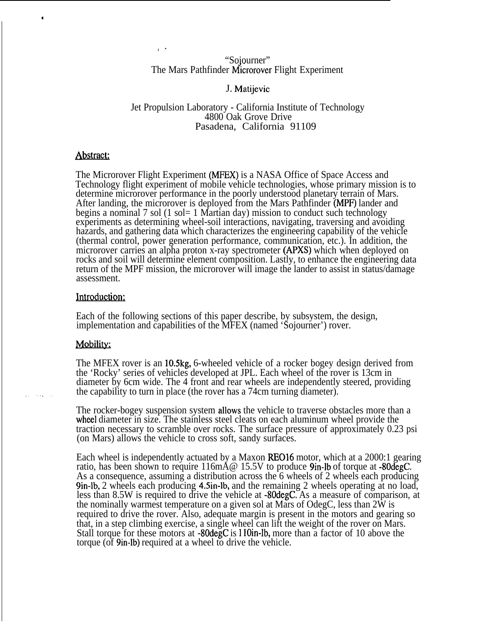## "Soiourner" The Mars Pathfinder Microrover Flight Experiment

,.

# J. Matijevic

#### Jet Propulsion Laboratory - California Institute of Technology 4800 Oak Grove Drive Pasadena, California 91109

# Abstract:

I

The Microrover Flight Experiment (MFEX) is a NASA Office of Space Access and Technology flight experiment of mobile vehicle technologies, whose primary mission is to determine microrover performance in the poorly understood planetary terrain of Mars. After landing, the microrover is deployed from the Mars Pathfinder (MPF) lander and begins a nominal 7 sol (1 sol= 1 Martian day) mission to conduct such technology experiments as determining wheel-soil interactions, navigating, traversing and avoiding hazards, and gathering data which characterizes the engineering capability of the vehicle (thermal control, power generation performance, communication, etc.). In addition, the microrover carries an alpha proton x-ray spectrometer (APXS) which when deployed on rocks and soil will determine element composition. Lastly, to enhance the engineering data return of the MPF mission, the microrover will image the lander to assist in status/damage assessment.

#### Introduction:

Each of the following sections of this paper describe, by subsystem, the design, implementation and capabilities of the MFEX (named 'Sojourner') rover.

### Mobility:

The MFEX rover is an 10.5kg, 6-wheeled vehicle of a rocker bogey design derived from the 'Rocky' series of vehicles developed at JPL. Each wheel of the rover is 13cm in diameter by 6cm wide. The 4 front and rear wheels are independently steered, providing the capability to turn in place (the rover has a 74cm turning diameter).

> The rocker-bogey suspension system allows the vehicle to traverse obstacles more than a wheel diameter in size. The stainless steel cleats on each aluminum wheel provide the traction necessary to scramble over rocks. The surface pressure of approximately 0.23 psi (on Mars) allows the vehicle to cross soft, sandy surfaces.

Each wheel is independently actuated by a Maxon RE016 motor, which at a 2000:1 gearing ratio, has been shown to require 116mÅ@ 15.5V to produce 9in-lb of torque at -80degC. As a consequence, assuming a distribution across the 6 wheels of 2 wheels each producing 9in-lb, 2 wheels each producing 4.5in-lb, and the remaining 2 wheels operating at no load, less than 8.5W is required to drive the vehicle at -80degC, As a measure of comparison, at the nominally warmest temperature on a given sol at Mars of OdegC, less than 2W is required to drive the rover. Also, adequate margin is present in the motors and gearing so that, in a step climbing exercise, a single wheel can lift the weight of the rover on Mars. Stall torque for these motors at -80degC is 110in-lb, more than a factor of 10 above the torque (of 9in-lb) required at a wheel to drive the vehicle.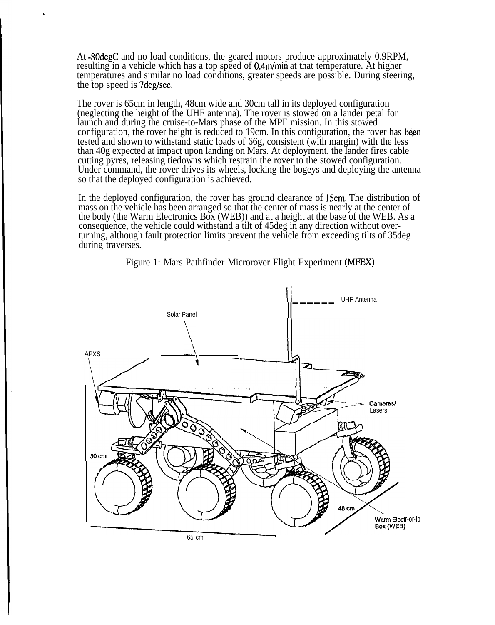At -80degC and no load conditions, the geared motors produce approximately 0.9RPM, resulting in a vehicle which has a top speed of 0.4m/min at that temperature. At higher temperatures and similar no load conditions, greater speeds are possible. During steering, the top speed is 7deg/sec.

'

The rover is 65cm in length, 48cm wide and 30cm tall in its deployed configuration (neglecting the height of the UHF antenna). The rover is stowed on a lander petal for launch and during the cruise-to-Mars phase of the MPF mission. In this stowed configuration, the rover height is reduced to 19cm. In this configuration, the rover has begn tested and shown to withstand static loads of 66g, consistent (with margin) with the less than 40g expected at impact upon landing on Mars. At deployment, the lander fires cable cutting pyres, releasing tiedowns which restrain the rover to the stowed configuration. Under command, the rover drives its wheels, locking the bogeys and deploying the antenna so that the deployed configuration is achieved.

In the deployed configuration, the rover has ground clearance of 15cm. The distribution of mass on the vehicle has been arranged so that the center of mass is nearly at the center of the body (the Warm Electronics Box (WEB)) and at a height at the base of the WEB. As a consequence, the vehicle could withstand a tilt of 45deg in any direction without overturning, although fault protection limits prevent the vehicle from exceeding tilts of 35deg during traverses.



Figure 1: Mars Pathfinder Microrover Flight Experiment (MFEX)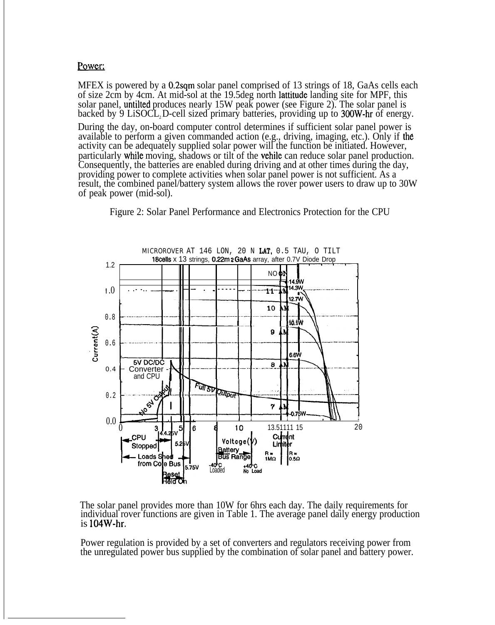### Power:

MFEX is powered by a 0.2sqm solar panel comprised of 13 strings of 18, GaAs cells each of size 2cm by 4cm. At mid-sol at the 19.5deg north lattitude landing site for MPF, this solar panel, untilted produces nearly 15W peak power (see Figure 2). The solar panel is backed by 9 LiSOCL, D-cell sized primary batteries, providing up to 300W-hr of energy. During the day, on-board computer control determines if sufficient solar panel power is available to perform a given commanded action (e.g., driving, imaging, etc.). Only if the activity can be adequately supplied solar power will the function be initiated. However, particularly while moving, shadows or tilt of the vehile can reduce solar panel production. Consequently, the batteries are enabled during driving and at other times during the day, providing power to complete activities when solar panel power is not sufficient. As a result, the combined panel/battery system allows the rover power users to draw up to 30W of peak power (mid-sol).



Figure 2: Solar Panel Performance and Electronics Protection for the CPU

The solar panel provides more than 10W for 6hrs each day. The daily requirements for individual rover functions are given in Table 1. The average panel daily energy production is 104W-hr.

Power regulation is provided by a set of converters and regulators receiving power from the unregulated power bus supplied by the combination of solar panel and battery power.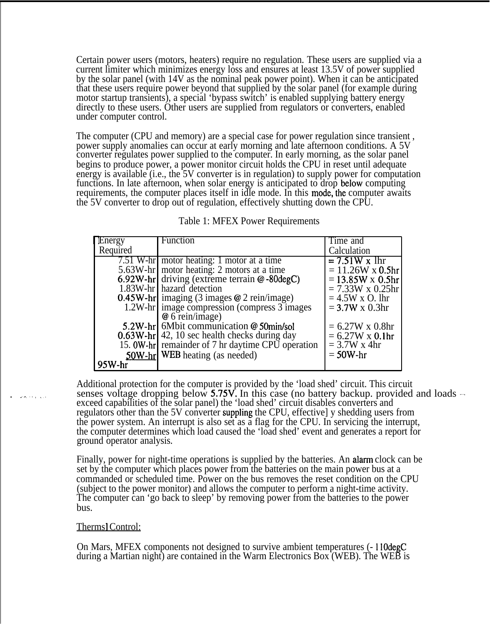Certain power users (motors, heaters) require no regulation. These users are supplied via a current limiter which minimizes energy loss and ensures at least 13.5V of power supplied by the solar panel (with 14V as the nominal peak power point). When it can be anticipated that these users require power beyond that supplied by the solar panel (for example during motor startup transients), a special 'bypass switch' is enabled supplying battery energy directly to these users. Other users are supplied from regulators or converters, enabled under computer control.

The computer (CPU and memory) are a special case for power regulation since transient , power supply anomalies can occur at early morning and late afternoon conditions. A 5V converter regulates power supplied to the computer. In early morning, as the solar panel begins to produce power, a power monitor circuit holds the CPU in reset until adequate energy is available (i.e., the 5V converter is in regulation) to supply power for computation functions. In late afternoon, when solar energy is anticipated to drop below computing requirements, the computer places itself in idle mode. In this mode, the computer awaits the 5V converter to drop out of regulation, effectively shutting down the CPU.

| Energy   | Function                                                                    | Time and                |
|----------|-----------------------------------------------------------------------------|-------------------------|
| Required |                                                                             | Calculation             |
|          | 7.51 W-hr motor heating: 1 motor at a time                                  | $= 7.51W \times lhr$    |
|          | 5.63W-hr   motor heating: 2 motors at a time                                | $= 11.26W x 0.5hr$      |
|          | 6.92W-hr driving (extreme terrain @-80degC)                                 | $= 13.85W \times 0.5hr$ |
|          | 1.83W-hr hazard detection                                                   | $= 7.33W \times 0.25hr$ |
|          | 0.45W-hr imaging $(3 \text{ images} \otimes 2 \text{ rein} / \text{image})$ | $= 4.5W$ x O. lhr       |
|          | 1.2W-hr image compression (compress 3 images)                               | $= 3.7W \times 0.3hr$   |
|          | @ 6 rein/image)                                                             |                         |
|          | 5.2W-hr 6Mbit communication @ 50min/sol                                     | $= 6.27W \times 0.8hr$  |
|          | 0.63W-hr 42, 10 sec health checks during day                                | $= 6.27W \times 0.1hr$  |
|          | 15. 0W-hr remainder of 7 hr daytime CPU operation                           | $= 3.7W$ x 4hr          |
|          | $50W-hr$ WEB heating (as needed)                                            | $=$ 50W-hr              |
| $95W-hr$ |                                                                             |                         |

| Table 1: MFEX Power Requirements |  |  |
|----------------------------------|--|--|
|----------------------------------|--|--|

Additional protection for the computer is provided by the 'load shed' circuit. This circuit senses voltage dropping below 5.75V. In this case (no battery backup. provided and loads  $\sim$ exceed capabilities of the solar panel) the 'load shed' circuit disables converters and regulators other than the 5V converter suppling the CPU, effective] y shedding users from the power system. An interrupt is also set as a flag for the CPU. In servicing the interrupt, the computer determines which load caused the 'load shed' event and generates a report for ground operator analysis.

> Finally, power for night-time operations is supplied by the batteries. An alarm clock can be set by the computer which places power from the batteries on the main power bus at a commanded or scheduled time. Power on the bus removes the reset condition on the CPU (subject to the power monitor) and allows the computer to perform a night-time activity. The computer can 'go back to sleep' by removing power from the batteries to the power bus.

# ThermsI Control:

On Mars, MFEX components not designed to survive ambient temperatures (- 110degC during a Martian night) are contained in the Warm Electronics Box (WEB). The WEB is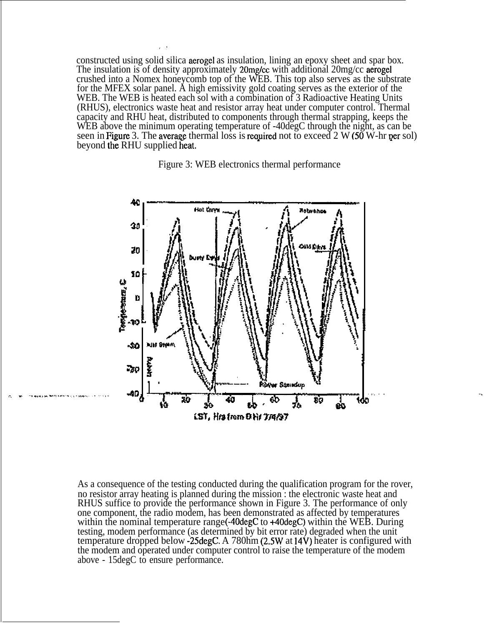constructed using solid silica aerogel as insulation, lining an epoxy sheet and spar box. The insulation is of density approximately 20mg/cc with additional 20mg/cc aerogel crushed into a Nomex honeycomb top of the WEB. This top also serves as the substrate for the MFEX solar panel. A high emissivity gold coating serves as the exterior of the WEB. The WEB is heated each sol with a combination of 3 Radioactive Heating Units (RHUS), electronics waste heat and resistor array heat under computer control. Thermal capacity and RHU heat, distributed to components through thermal strapping, keeps the WEB above the minimum operating temperature of -40degC through the night, as can be seen in Figure 3. The average thermal loss is required not to exceed 2 W (50 W-hr per sol) beyond the RHU supplied heat.





As a consequence of the testing conducted during the qualification program for the rover, no resistor array heating is planned during the mission: the electronic waste heat and RHUS suffice to provide the performance shown in Figure 3. The performance of only one component, the radio modem, has been demonstrated as affected by temperatures within the nominal temperature range(-40degC to +40degC) within the WEB. During testing, modem performance (as determined by bit error rate) degraded when the unit temperature dropped below -25degC. A 780hm (2.5W at 14V) heater is configured with the modem and operated under computer control to raise the temperature of the modem above - 15 degC to ensure performance.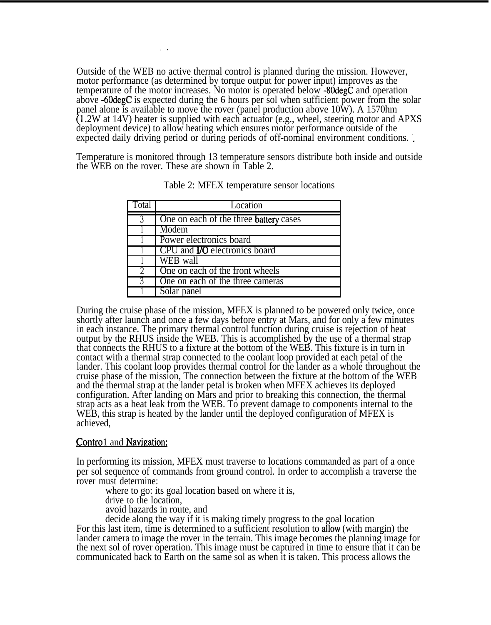Outside of the WEB no active thermal control is planned during the mission. However, motor performance (as determined by torque output for power input) improves as the temperature of the motor increases. No motor is operated below -80degC and operation above -60degC is expected during the 6 hours per sol when sufficient power from the solar panel alone is available to move the rover (panel production above 10W). A 1570hm (1 .2W at 14V) heater is supplied with each actuator (e.g., wheel, steering motor and APXS deployment device) to allow heating which ensures motor performance outside of the expected daily driving period or during periods of off-nominal environment conditions. '.

,.

Temperature is monitored through 13 temperature sensors distribute both inside and outside the WEB on the rover. These are shown in Table 2.

| `ota                        | Location                                    |
|-----------------------------|---------------------------------------------|
|                             | One on each of the three battery cases      |
|                             | Modem                                       |
|                             | Power electronics board                     |
|                             | <b>CPU</b> and <b>I/O</b> electronics board |
|                             | <b>WEB</b> wall                             |
| $\mathcal{D}_{\mathcal{L}}$ | One on each of the front wheels             |
|                             | One on each of the three cameras            |
|                             | Solar panel                                 |

During the cruise phase of the mission, MFEX is planned to be powered only twice, once shortly after launch and once a few days before entry at Mars, and for only a few minutes in each instance. The primary thermal control function during cruise is rejection of heat output by the RHUS inside the WEB. This is accomplished by the use of a thermal strap that connects the RHUS to a fixture at the bottom of the WEB. This fixture is in turn in contact with a thermal strap connected to the coolant loop provided at each petal of the lander. This coolant loop provides thermal control for the lander as a whole throughout the cruise phase of the mission, The connection between the fixture at the bottom of the WEB and the thermal strap at the lander petal is broken when MFEX achieves its deployed configuration. After landing on Mars and prior to breaking this connection, the thermal strap acts as a heat leak from the WEB. To prevent damage to components internal to the WEB, this strap is heated by the lander until the deployed configuration of MFEX is achieved,

# Contro1 and Navigation:

In performing its mission, MFEX must traverse to locations commanded as part of a once per sol sequence of commands from ground control. In order to accomplish a traverse the rover must determine:

where to go: its goal location based on where it is,

drive to the location,

avoid hazards in route, and

decide along the way if it is making timely progress to the goal location

For this last item, time is determined to a sufficient resolution to allow (with margin) the lander camera to image the rover in the terrain. This image becomes the planning image for the next sol of rover operation. This image must be captured in time to ensure that it can be communicated back to Earth on the same sol as when it is taken. This process allows the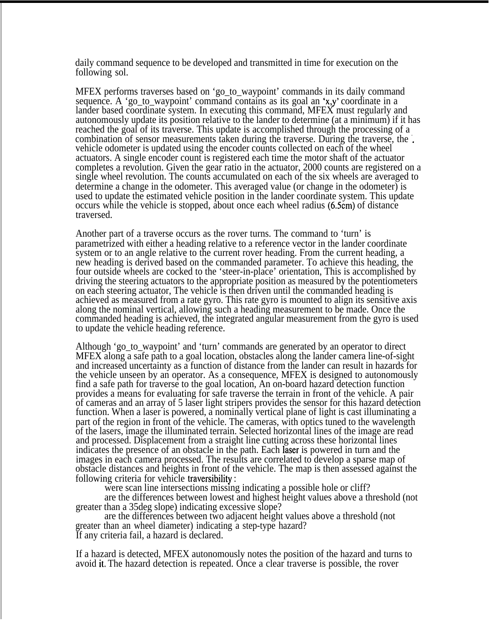daily command sequence to be developed and transmitted in time for execution on the following sol.

MFEX performs traverses based on 'go\_to\_waypoint' commands in its daily command sequence. A 'go\_to\_waypoint' command contains as its goal an 'x,y' coordinate in a lander based coordinate system. In executing this command, MFEX must regularly and autonomously update its position relative to the lander to determine (at a minimum) if it has reached the goal of its traverse. This update is accomplished through the processing of a combination of sensor measurements taken during the traverse. During the traverse, the ; vehicle odometer is updated using the encoder counts collected on each of the wheel actuators. A single encoder count is registered each time the motor shaft of the actuator completes a revolution. Given the gear ratio in the actuator, 2000 counts are registered on a single wheel revolution. The counts accumulated on each of the six wheels are averaged to determine a change in the odometer. This averaged value (or change in the odometer) is used to update the estimated vehicle position in the lander coordinate system. This update occurs while the vehicle is stopped, about once each wheel radius (6.5cm) of distance traversed.

Another part of a traverse occurs as the rover turns. The command to 'turn' is parametrized with either a heading relative to a reference vector in the lander coordinate system or to an angle relative to the current rover heading. From the current heading, a new heading is derived based on the commanded parameter. To achieve this heading, the four outside wheels are cocked to the 'steer-in-place' orientation, This is accomplished by driving the steering actuators to the appropriate position as measured by the potentiometers on each steering actuator, The vehicle is then driven until the commanded heading is achieved as measured from a rate gyro. This rate gyro is mounted to align its sensitive axis along the nominal vertical, allowing such a heading measurement to be made. Once the commanded heading is achieved, the integrated angular measurement from the gyro is used to update the vehicle heading reference.

Although 'go\_to\_waypoint' and 'turn' commands are generated by an operator to direct MFEX along a safe path to a goal location, obstacles along the lander camera line-of-sight and increased uncertainty as a function of distance from the lander can result in hazards for the vehicle unseen by an operator. As a consequence, MFEX is designed to autonomously find a safe path for traverse to the goal location, An on-board hazard detection function provides a means for evaluating for safe traverse the terrain in front of the vehicle. A pair of cameras and an array of 5 laser light stripers provides the sensor for this hazard detection function. When a laser is powered, a nominally vertical plane of light is cast illuminating a part of the region in front of the vehicle. The cameras, with optics tuned to the wavelength of the lasers, image the illuminated terrain. Selected horizontal lines of the image are read and processed. Displacement from a straight line cutting across these horizontal lines indicates the presence of an obstacle in the path. Each laser is powered in turn and the images in each camera processed. The results are correlated to develop a sparse map of obstacle distances and heights in front of the vehicle. The map is then assessed against the following criteria for vehicle traversibility :

were scan line intersections missing indicating a possible hole or cliff?

are the differences between lowest and highest height values above a threshold (not greater than a 35deg slope) indicating excessive slope?

are the differences between two adjacent height values above a threshold (not greater than an wheel diameter) indicating a step-type hazard? If any criteria fail, a hazard is declared.

If a hazard is detected, MFEX autonomously notes the position of the hazard and turns to avoid it, The hazard detection is repeated. Once a clear traverse is possible, the rover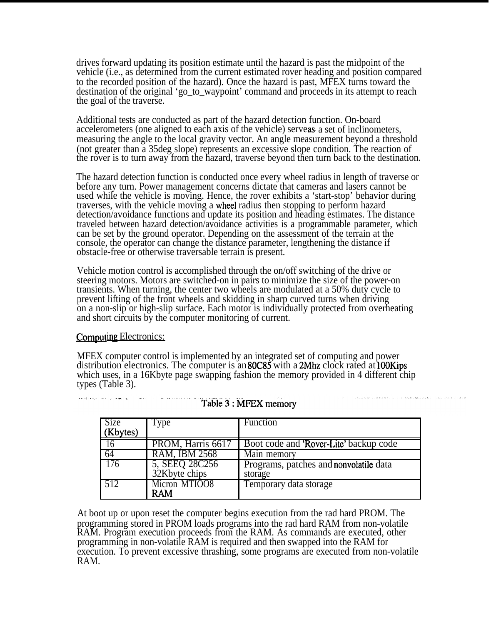drives forward updating its position estimate until the hazard is past the midpoint of the vehicle (i.e., as determined from the current estimated rover heading and position compared to the recorded position of the hazard). Once the hazard is past, MFEX turns toward the destination of the original 'go\_to\_waypoint' command and proceeds in its attempt to reach the goal of the traverse.

Additional tests are conducted as part of the hazard detection function. On-board accelerometers (one aligned to each axis of the vehicle) serve as a set of inclinometers, measuring the angle to the local gravity vector. An angle measurement beyond a threshold (not greater than a 35deg slope) represents an excessive slope condition. The reaction of the rover is to turn away from the hazard, traverse beyond then turn back to the destination.

The hazard detection function is conducted once every wheel radius in length of traverse or before any turn. Power management concerns dictate that cameras and lasers cannot be used while the vehicle is moving. Hence, the rover exhibits a 'start-stop' behavior during traverses, with the vehicle moving a wheel radius then stopping to perform hazard detection/avoidance functions and update its position and heading estimates. The distance traveled between hazard detection/avoidance activities is a programmable parameter, which can be set by the ground operator. Depending on the assessment of the terrain at the console, the operator can change the distance parameter, lengthening the distance if obstacle-free or otherwise traversable terrain is present.

Vehicle motion control is accomplished through the on/off switching of the drive or steering motors. Motors are switched-on in pairs to minimize the size of the power-on transients. When turning, the center two wheels are modulated at a 50% duty cycle to prevent lifting of the front wheels and skidding in sharp curved turns when driving on a non-slip or high-slip surface. Each motor is individually protected from overheating and short circuits by the computer monitoring of current.

# Computing Electronics:

MFEX computer control is implemented by an integrated set of computing and power distribution electronics. The computer is an 80C85 with a 2Mhz clock rated at 100Kips which uses, in a 16Kbyte page swapping fashion the memory provided in 4 different chip types (Table 3).

| <b>Size</b> | Type                 | <b>Function</b>                        |
|-------------|----------------------|----------------------------------------|
| (Kbytes)    |                      |                                        |
| 16          | PROM, Harris 6617    | Boot code and 'Rover-Lite' backup code |
| 64          | <b>RAM, IBM 2568</b> | Main memory                            |
| 176         | 5, SEEQ 28C256       | Programs, patches and nonvolatile data |
|             | 32Kbyte chips        | storage                                |
| 512         | Micron MTIOO8        | Temporary data storage                 |
|             | <b>RAM</b>           |                                        |

| TREASURED IN A RISE STREET TO THE RELEASED TO AN ARREST THE RELEASED FOR THE RELEASED FOR A RELEASED TO A RELEASED TO A RELEASED TO A RELEASED TO A RELEASED TO A RELEASED TO A RELEASED TO A RELEASED TO A RELEASED TO A RELE<br>Table 3 : MFEX memory | and a contract of the company of the second contract of the second second second contract of the second second |
|---------------------------------------------------------------------------------------------------------------------------------------------------------------------------------------------------------------------------------------------------------|----------------------------------------------------------------------------------------------------------------|
|---------------------------------------------------------------------------------------------------------------------------------------------------------------------------------------------------------------------------------------------------------|----------------------------------------------------------------------------------------------------------------|

At boot up or upon reset the computer begins execution from the rad hard PROM. The programming stored in PROM loads programs into the rad hard RAM from non-volatile RAM. Program execution proceeds from the RAM. As commands are executed, other programming in non-volatile RAM is required and then swapped into the RAM for execution. To prevent excessive thrashing, some programs are executed from non-volatile RAM.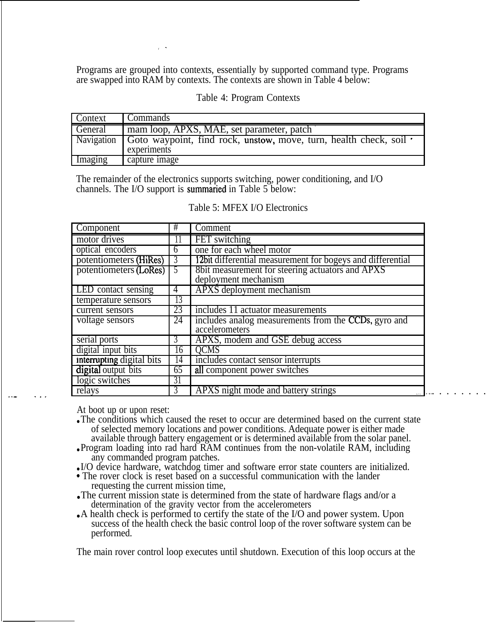Programs are grouped into contexts, essentially by supported command type. Programs are swapped into RAM by contexts. The contexts are shown in Table 4 below:

,.

|  |  | Table 4: Program Contexts |  |
|--|--|---------------------------|--|
|--|--|---------------------------|--|

| Context | Commands                                                                                      |
|---------|-----------------------------------------------------------------------------------------------|
| General | mam loop, APXS, MAE, set parameter, patch                                                     |
|         | Navigation Goto waypoint, find rock, unstow, move, turn, health check, soil of<br>experiments |
| Imaging | capture image                                                                                 |

The remainder of the electronics supports switching, power conditioning, and I/O channels. The I/O support is summaried in Table 5 below:

| Component                 | #            | Comment                                                                  |  |
|---------------------------|--------------|--------------------------------------------------------------------------|--|
| motor drives              | H            | FET switching                                                            |  |
| optical encoders          | <sub>0</sub> | one for each wheel motor                                                 |  |
| potentiometers (HiRes)    | 3            | 12bit differential measurement for bogeys and differential               |  |
| potentiometers (LoRes) 5  |              | 8bit measurement for steering actuators and APXS<br>deployment mechanism |  |
| LED contact sensing       | 4            | APXS deployment mechanism                                                |  |
| temperature sensors       | 13           |                                                                          |  |
| current sensors           | 23           | includes 11 actuator measurements                                        |  |
| voltage sensors           | 24           | includes analog measurements from the CCDs, gyro and<br>accelerometers   |  |
| serial ports              | Ĵ            | APXS, modem and GSE debug access                                         |  |
| digital input bits        | 16           | <b>QCMS</b>                                                              |  |
| interrupting digital bits | 14           | includes contact sensor interrupts                                       |  |
| digital output bits       | 65           | all component power switches                                             |  |
| logic switches            | 31           |                                                                          |  |
| relays                    | J.           | APXS night mode and battery strings                                      |  |

### Table 5: MFEX I/O Electronics

At boot up or upon reset:

. ..-

. . .

- The conditions which caused the reset to occur are determined based on the current state of selected memory locations and power conditions. Adequate power is either made available through battery engagement or is determined available from the solar panel.
- Program loading into rad hard RAM continues from the non-volatile RAM, including any commanded program patches.
- I/O device hardware, watchdog timer and software error state counters are initialized.
- The rover clock is reset based on a successful communication with the lander requesting the current mission time,
- The current mission state is determined from the state of hardware flags and/or a determination of the gravity vector from the accelerometers
- $\bullet$  A health check is performed to certify the state of the I/O and power system. Upon success of the health check the basic control loop of the rover software system can be performed.

The main rover control loop executes until shutdown. Execution of this loop occurs at the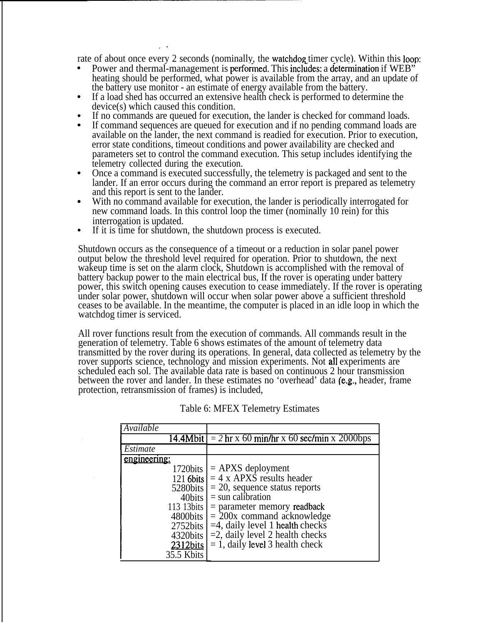rate of about once every 2 seconds (nominally, the watchdog timer cycle). Within this loop:

- Power and thermal-management is performed. This includes: a determination if WEB" heating should be performed, what power is available from the array, and an update of the battery use monitor - an estimate of energy available from the battery.
- If a load shed has occurred an extensive health check is performed to determine the  $\bullet$ device(s) which caused this condition.
- If no commands are queued for execution, the lander is checked for command loads.
- If command sequences are queued for execution and if no pending command loads are available on the lander, the next command is readied for execution. Prior to execution, error state conditions, timeout conditions and power availability are checked and parameters set to control the command execution. This setup includes identifying the telemetry collected during the execution.
- Once a command is executed successfully, the telemetry is packaged and sent to the  $\bullet$ lander. If an error occurs during the command an error report is prepared as telemetry and this report is sent to the lander.
- $\bullet$ With no command available for execution, the lander is periodically interrogated for new command loads. In this control loop the timer (nominally 10 rein) for this interrogation is updated.
- If it is time for shutdown, the shutdown process is executed.  $\bullet$

,.

Shutdown occurs as the consequence of a timeout or a reduction in solar panel power output below the threshold level required for operation. Prior to shutdown, the next wakeup time is set on the alarm clock, Shutdown is accomplished with the removal of battery backup power to the main electrical bus, If the rover is operating under battery power, this switch opening causes execution to cease immediately. If the rover is operating under solar power, shutdown will occur when solar power above a sufficient threshold ceases to be available. In the meantime, the computer is placed in an idle loop in which the watchdog timer is serviced.

All rover functions result from the execution of commands. All commands result in the generation of telemetry. Table 6 shows estimates of the amount of telemetry data transmitted by the rover during its operations. In general, data collected as telemetry by the rover supports science, technology and mission experiments. Not all experiments are scheduled each sol. The available data rate is based on continuous 2 hour transmission scheduled each sol. The available data rate is based on continuous 2 hour transmission<br>between the rover and lander. In these estimates no 'overhead' data (e.g., header, frame<br>protection, retronomission of frames) is inclu protection, retransmission of frames) is included,

| Available    |                                                      |
|--------------|------------------------------------------------------|
|              | 14.4Mbit $= 2$ hr x 60 min/hr x 60 sec/min x 2000bps |
| Estimate     |                                                      |
| engineering: |                                                      |
| 1720bits     | $=$ APXS deployment                                  |
|              | 121 6bits $= 4 \times APX\hat{S}$ results header     |
| 5280bits     | $=$ 20, sequence status reports                      |
| 40bits       | $=$ sun calibration                                  |
| 113 13 bits  | $=$ parameter memory readback                        |
| 4800bits     | $=$ 200x command acknowledge                         |
| 2752bits     | $=$ 4, daily level 1 health checks                   |
| 4320bits     | $=$ 2, daily level 2 health checks                   |
| 2312 bits    | $= 1$ , daily level 3 health check                   |
| 35.5 Kbits   |                                                      |

Table 6: MFEX Telemetry Estimates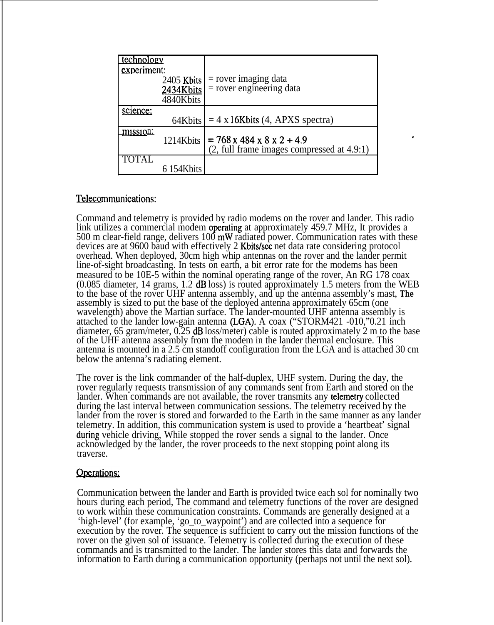| technology  |            |                                            |
|-------------|------------|--------------------------------------------|
| experiment: |            |                                            |
|             | 2405 Kbits | $=$ rover imaging data                     |
|             | 2434Kbits  | $=$ rover engineering data                 |
|             | 4840Kbits  |                                            |
| science:    |            |                                            |
|             | 64Kbits    | $=$ 4 x 16Kbits (4, APXS spectra)          |
|             |            |                                            |
|             |            |                                            |
| mission:    | 1214Kbits  | $= 768 \times 484 \times 8 \times 2 + 4.9$ |
|             |            | (2, full frame images compressed at 4.9:1) |
|             |            |                                            |

.

# Telecommunications:

Command and telemetry is provided by radio modems on the rover and lander. This radio link utilizes a commercial modem operating at approximately 459.7 MHz, It provides a 500 m clear-field range, delivers 100 mW radiated power. Communication rates with these devices are at 9600 baud with effectively 2 Kbits/sec net data rate considering protocol overhead. When deployed, 30cm high whip antennas on the rover and the lander permit line-of-sight broadcasting. In tests on earth, a bit error rate for the modems has been measured to be 10E-5 within the nominal operating range of the rover, An RG 178 coax (0.085 diameter, 14 grams, 1.2 dB loss) is routed approximately 1.5 meters from the WEB to the base of the rover UHF antenna assembly, and up the antenna assembly's mast, **The** assembly is sized to put the base of the deployed antenna approximately 65cm (one wavelength) above the Martian surface. The lander-mounted UHF antenna assembly is attached to the lander low-gain antenna (LGA). A coax ("STORM421 -010,"0.21 inch diameter, 65 gram/meter, 0.25 dB loss/meter) cable is routed approximately 2 m to the base of the UHF antenna assembly from the modem in the lander thermal enclosure. This antenna is mounted in a 2.5 cm standoff configuration from the LGA and is attached 30 cm below the antenna's radiating element.

The rover is the link commander of the half-duplex, UHF system. During the day, the rover regularly requests transmission of any commands sent from Earth and stored on the lander. When commands are not available, the rover transmits any telemetry collected during the last interval between communication sessions. The telemetry received by the lander from the rover is stored and forwarded to the Earth in the same manner as any lander telemetry. In addition, this communication system is used to provide a 'heartbeat' signal during vehicle driving, While stopped the rover sends a signal to the lander. Once acknowledged by the lander, the rover proceeds to the next stopping point along its traverse.

# Operations:

Communication between the lander and Earth is provided twice each sol for nominally two hours during each period, The command and telemetry functions of the rover are designed to work within these communication constraints. Commands are generally designed at a 'high-level' (for example, 'go\_to\_waypoint') and are collected into a sequence for execution by the rover. The sequence is sufficient to carry out the mission functions of the rover on the given sol of issuance. Telemetry is collected during the execution of these commands and is transmitted to the lander. The lander stores this data and forwards the information to Earth during a communication opportunity (perhaps not until the next sol).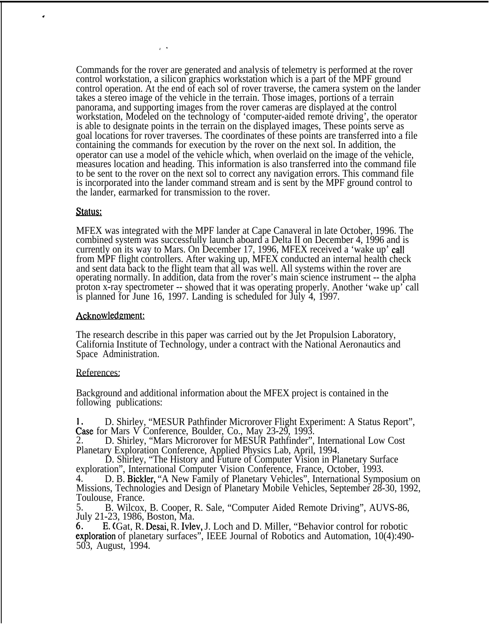Commands for the rover are generated and analysis of telemetry is performed at the rover control workstation, a silicon graphics workstation which is a part of the MPF ground control operation. At the end of each sol of rover traverse, the camera system on the lander takes a stereo image of the vehicle in the terrain. Those images, portions of a terrain panorama, and supporting images from the rover cameras are displayed at the control workstation, Modeled on the technology of 'computer-aided remote driving', the operator is able to designate points in the terrain on the displayed images, These points serve as goal locations for rover traverses. The coordinates of these points are transferred into a file containing the commands for execution by the rover on the next sol. In addition, the operator can use a model of the vehicle which, when overlaid on the image of the vehicle, measures location and heading. This information is also transferred into the command file to be sent to the rover on the next sol to correct any navigation errors. This command file is incorporated into the lander command stream and is sent by the MPF ground control to the lander, earmarked for transmission to the rover.

,.

#### Status:

.

MFEX was integrated with the MPF lander at Cape Canaveral in late October, 1996. The combined system was successfully launch aboard a Delta II on December 4, 1996 and is currently on its way to Mars. On December 17, 1996, MFEX received a 'wake up' call from MPF flight controllers. After waking up, MFEX conducted an internal health check and sent data back to the flight team that all was well. All systems within the rover are operating normally. In addition, data from the rover's main science instrument -- the alpha proton x-ray spectrometer -- showed that it was operating properly. Another 'wake up' call is planned for June 16, 1997. Landing is scheduled for July 4, 1997.

### Acknowledgment:

The research describe in this paper was carried out by the Jet Propulsion Laboratory, California Institute of Technology, under a contract with the National Aeronautics and Space Administration.

#### References:

Background and additional information about the MFEX project is contained in the following publications:

D. Shirley, "MESUR Pathfinder Microrover Flight Experiment: A Status Report", 1. Case for Mars V Conference, Boulder, Co., May 23-29, 1993.

2. D. Shirley, "Mars Microrover for MESUR Pathfinder", International Low Cost Planetary Exploration Conference, Applied Physics Lab, April, 1994.

D. Shirley, "The History and Future of Computer Vision in Planetary Surface exploration", International Computer Vision Conference, France, October, 1993.

D. B. Bickler, "A New Family of Planetary Vehicles", International Symposium on Missions, Technologies and Design of Planetary Mobile Vehicles, September 28-30, 1992, Toulouse, France.

5. B. Wilcox, B. Cooper, R. Sale, "Computer Aided Remote Driving", AUVS-86, July 21-23, 1986, Boston, Ma.

E. Gat, R. Desai, R. Ivlev, J. Loch and D. Miller, "Behavior control for robotic 6.  $exploration of planetary surfaces$ , IEEE Journal of Robotics and Automation, 10(4):490-503, August, 1994.